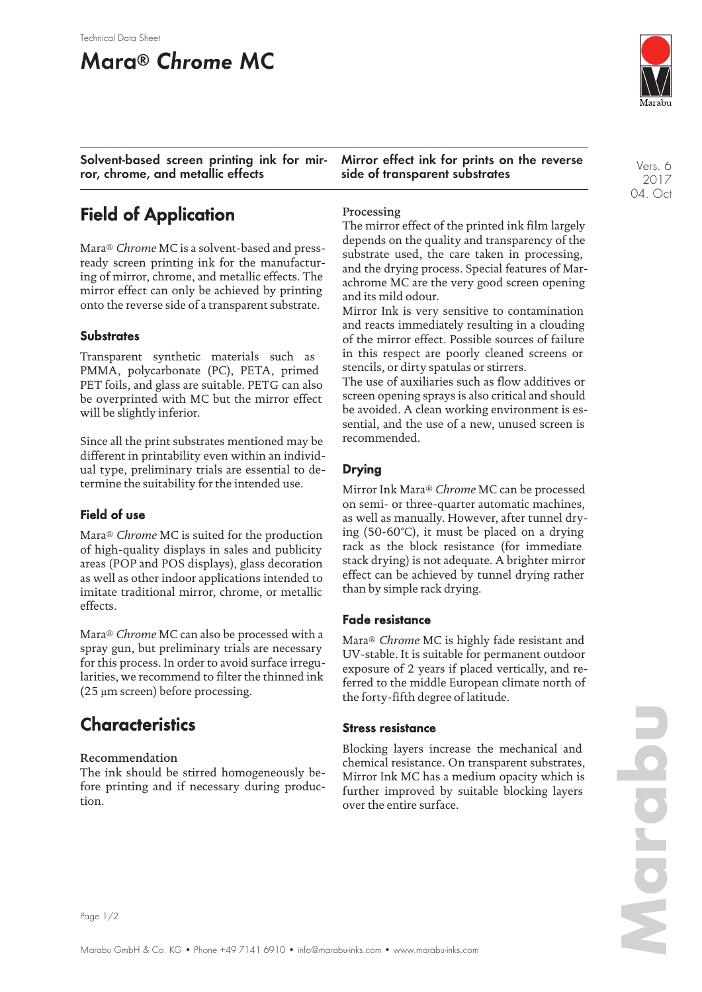# **Mara® Chrome MC**

**Solvent-based screen printing ink for mirror, chrome, and metallic effects**

**Mirror effect ink for prints on the reverse side of transparent substrates**

Vers. 6 2017 04. Oct

## **Field of Application**

Mara® *Chrome* MC is a solvent-based and pressready screen printing ink for the manufacturing of mirror, chrome, and metallic effects. The mirror effect can only be achieved by printing onto the reverse side of a transparent substrate.

#### **Substrates**

Transparent synthetic materials such as PMMA, polycarbonate (PC), PETA, primed PET foils, and glass are suitable. PETG can also be overprinted with MC but the mirror effect will be slightly inferior.

Since all the print substrates mentioned may be different in printability even within an individual type, preliminary trials are essential to determine the suitability for the intended use.

#### **Field of use**

Mara® *Chrome* MC is suited for the production of high-quality displays in sales and publicity areas (POP and POS displays), glass decoration as well as other indoor applications intended to imitate traditional mirror, chrome, or metallic effects.

Mara® *Chrome* MC can also be processed with a spray gun, but preliminary trials are necessary for this process. In order to avoid surface irregularities, we recommend to filter the thinned ink (25 µm screen) before processing.

## **Characteristics**

#### Recommendation

The ink should be stirred homogeneously before printing and if necessary during production.

#### Processing

The mirror effect of the printed ink film largely depends on the quality and transparency of the substrate used, the care taken in processing, and the drying process. Special features of Marachrome MC are the very good screen opening and its mild odour.

Mirror Ink is very sensitive to contamination and reacts immediately resulting in a clouding of the mirror effect. Possible sources of failure in this respect are poorly cleaned screens or stencils, or dirty spatulas or stirrers.

The use of auxiliaries such as flow additives or screen opening sprays is also critical and should be avoided. A clean working environment is essential, and the use of a new, unused screen is recommended.

#### **Drying**

Mirror Ink Mara® *Chrome* MC can be processed on semi- or three-quarter automatic machines, as well as manually. However, after tunnel drying (50-60°C), it must be placed on a drying rack as the block resistance (for immediate stack drying) is not adequate. A brighter mirror effect can be achieved by tunnel drying rather than by simple rack drying.

#### **Fade resistance**

Mara® *Chrome* MC is highly fade resistant and UV-stable. It is suitable for permanent outdoor exposure of 2 years if placed vertically, and referred to the middle European climate north of the forty-fifth degree of latitude.

#### **Stress resistance**

Blocking layers increase the mechanical and chemical resistance. On transparent substrates, Mirror Ink MC has a medium opacity which is further improved by suitable blocking layers over the entire surface.